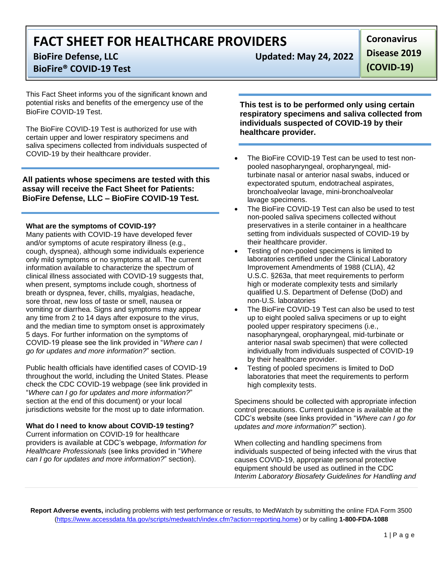# **FACT SHEET FOR HEALTHCARE PROVIDERS**

## **BioFire® COVID-19 Test**

This Fact Sheet informs you of the significant known and potential risks and benefits of the emergency use of the BioFire COVID-19 Test.

The BioFire COVID-19 Test is authorized for use with certain upper and lower respiratory specimens and saliva specimens collected from individuals suspected of COVID-19 by their healthcare provider.

**All patients whose specimens are tested with this assay will receive the Fact Sheet for Patients: BioFire Defense, LLC – BioFire COVID-19 Test.**

### **What are the symptoms of COVID-19?**

Many patients with COVID-19 have developed fever and/or symptoms of acute respiratory illness (e.g., cough, dyspnea), although some individuals experience only mild symptoms or no symptoms at all. The current information available to characterize the spectrum of clinical illness associated with COVID-19 suggests that, when present, symptoms include cough, shortness of breath or dyspnea, fever, chills, myalgias, headache, sore throat, new loss of taste or smell, nausea or vomiting or diarrhea. Signs and symptoms may appear any time from 2 to 14 days after exposure to the virus, and the median time to symptom onset is approximately 5 days. For further information on the symptoms of COVID-19 please see the link provided in "*Where can I go for updates and more information?*" section.

Public health officials have identified cases of COVID-19 throughout the world, including the United States. Please check the CDC COVID-19 webpage (see link provided in "*Where can I go for updates and more information?*" section at the end of this document) or your local jurisdictions website for the most up to date information.

### **What do I need to know about COVID-19 testing?**

Current information on COVID-19 for healthcare providers is available at CDC's webpage, *Information for Healthcare Professionals* (see links provided in "*Where can I go for updates and more information?*" section).

**BioFire Defense, LLC Updated: May 24, 2022**

**Coronavirus Disease 2019** 

**(COVID-19)**

**This test is to be performed only using certain respiratory specimens and saliva collected from individuals suspected of COVID-19 by their healthcare provider.**

- The BioFire COVID-19 Test can be used to test nonpooled nasopharyngeal, oropharyngeal, midturbinate nasal or anterior nasal swabs, induced or expectorated sputum, endotracheal aspirates, bronchoalveolar lavage, mini-bronchoalveolar lavage specimens.
- The BioFire COVID-19 Test can also be used to test non-pooled saliva specimens collected without preservatives in a sterile container in a healthcare setting from individuals suspected of COVID-19 by their healthcare provider.
- Testing of non-pooled specimens is limited to laboratories certified under the Clinical Laboratory Improvement Amendments of 1988 (CLIA), 42 U.S.C. §263a, that meet requirements to perform high or moderate complexity tests and similarly qualified U.S. Department of Defense (DoD) and non-U.S. laboratories
- The BioFire COVID-19 Test can also be used to test up to eight pooled saliva specimens or up to eight pooled upper respiratory specimens (i.e., nasopharyngeal, oropharyngeal, mid-turbinate or anterior nasal swab specimen) that were collected individually from individuals suspected of COVID-19 by their healthcare provider.
- Testing of pooled specimens is limited to DoD laboratories that meet the requirements to perform high complexity tests.

Specimens should be collected with appropriate infection control precautions. Current guidance is available at the CDC's website (see links provided in "*Where can I go for updates and more information?*" section).

When collecting and handling specimens from individuals suspected of being infected with the virus that causes COVID-19, appropriate personal protective equipment should be used as outlined in the CDC *Interim Laboratory Biosafety Guidelines for Handling and* 

**Report Adverse events,** including problems with test performance or results, to MedWatch by submitting the online FDA Form 3500 [\(https://www.accessdata.fda.gov/scripts/medwatch/index.cfm?action=reporting.home\)](https://www.accessdata.fda.gov/scripts/medwatch/index.cfm?action=reporting.home) or by calling **1-800-FDA-1088**

 $1 | P a g e$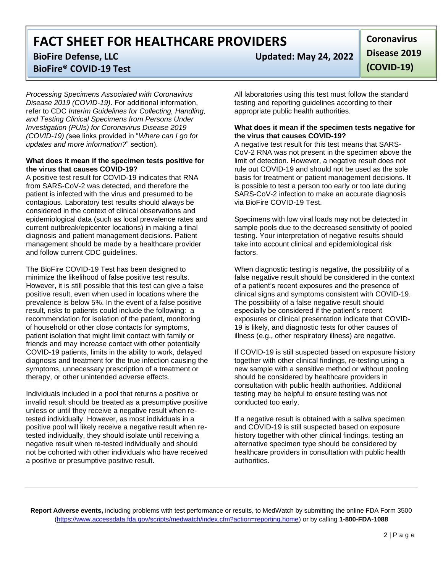**FACT SHEET FOR HEALTHCARE PROVIDERS**

**BioFire® COVID-19 Test**

*Processing Specimens Associated with Coronavirus Disease 2019 (COVID-19)*. For additional information, refer to CDC *Interim Guidelines for Collecting, Handling, and Testing Clinical Specimens from Persons Under Investigation (PUIs) for Coronavirus Disease 2019 (COVID-19) (*see links provided in "*Where can I go for updates and more information?*" section).

### **What does it mean if the specimen tests positive for the virus that causes COVID-19?**

A positive test result for COVID-19 indicates that RNA from SARS-CoV-2 was detected, and therefore the patient is infected with the virus and presumed to be contagious. Laboratory test results should always be considered in the context of clinical observations and epidemiological data (such as local prevalence rates and current outbreak/epicenter locations) in making a final diagnosis and patient management decisions. Patient management should be made by a healthcare provider and follow current CDC guidelines.

The BioFire COVID-19 Test has been designed to minimize the likelihood of false positive test results. However, it is still possible that this test can give a false positive result, even when used in locations where the prevalence is below 5%. In the event of a false positive result, risks to patients could include the following: a recommendation for isolation of the patient, monitoring of household or other close contacts for symptoms, patient isolation that might limit contact with family or friends and may increase contact with other potentially COVID-19 patients, limits in the ability to work, delayed diagnosis and treatment for the true infection causing the symptoms, unnecessary prescription of a treatment or therapy, or other unintended adverse effects.

Individuals included in a pool that returns a positive or invalid result should be treated as a presumptive positive unless or until they receive a negative result when retested individually. However, as most individuals in a positive pool will likely receive a negative result when retested individually, they should isolate until receiving a negative result when re-tested individually and should not be cohorted with other individuals who have received a positive or presumptive positive result.

**BioFire Defense, LLC Updated: May 24, 2022**

**Coronavirus Disease 2019 (COVID-19)**

All laboratories using this test must follow the standard testing and reporting guidelines according to their appropriate public health authorities.

### **What does it mean if the specimen tests negative for the virus that causes COVID-19?**

A negative test result for this test means that SARS-CoV-2 RNA was not present in the specimen above the limit of detection. However, a negative result does not rule out COVID-19 and should not be used as the sole basis for treatment or patient management decisions. It is possible to test a person too early or too late during SARS-CoV-2 infection to make an accurate diagnosis via BioFire COVID-19 Test.

Specimens with low viral loads may not be detected in sample pools due to the decreased sensitivity of pooled testing. Your interpretation of negative results should take into account clinical and epidemiological risk factors.

When diagnostic testing is negative, the possibility of a false negative result should be considered in the context of a patient's recent exposures and the presence of clinical signs and symptoms consistent with COVID-19. The possibility of a false negative result should especially be considered if the patient's recent exposures or clinical presentation indicate that COVID-19 is likely, and diagnostic tests for other causes of illness (e.g., other respiratory illness) are negative.

If COVID-19 is still suspected based on exposure history together with other clinical findings, re-testing using a new sample with a sensitive method or without pooling should be considered by healthcare providers in consultation with public health authorities. Additional testing may be helpful to ensure testing was not conducted too early.

If a negative result is obtained with a saliva specimen and COVID-19 is still suspected based on exposure history together with other clinical findings, testing an alternative specimen type should be considered by healthcare providers in consultation with public health authorities.

**Report Adverse events,** including problems with test performance or results, to MedWatch by submitting the online FDA Form 3500 [\(https://www.accessdata.fda.gov/scripts/medwatch/index.cfm?action=reporting.home\)](https://www.accessdata.fda.gov/scripts/medwatch/index.cfm?action=reporting.home) or by calling **1-800-FDA-1088**